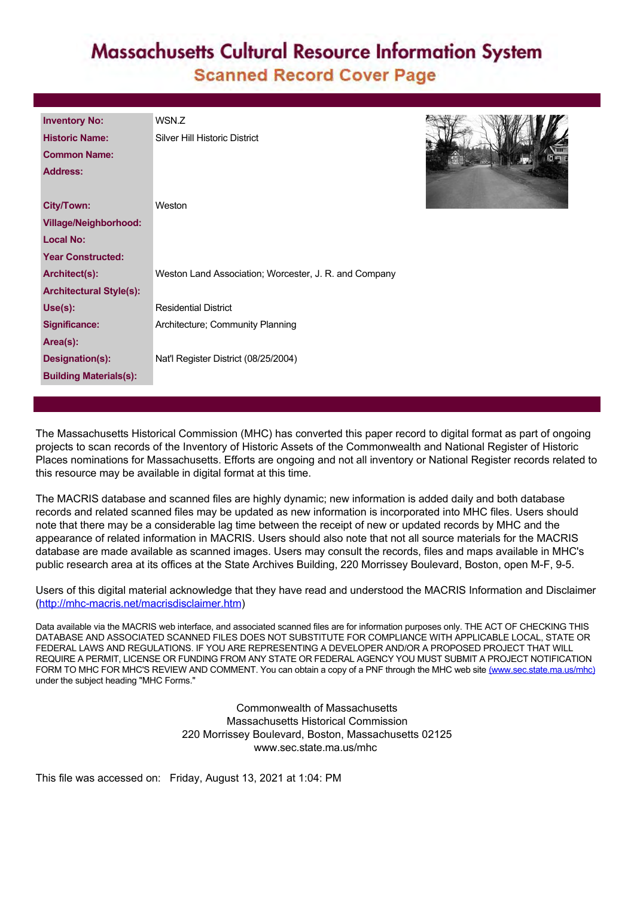## **Massachusetts Cultural Resource Information System Scanned Record Cover Page**

| <b>Inventory No:</b>           | WSN.Z                                                 |  |  |  |
|--------------------------------|-------------------------------------------------------|--|--|--|
| <b>Historic Name:</b>          | Silver Hill Historic District                         |  |  |  |
| <b>Common Name:</b>            |                                                       |  |  |  |
| <b>Address:</b>                |                                                       |  |  |  |
|                                |                                                       |  |  |  |
| <b>City/Town:</b>              | Weston                                                |  |  |  |
| <b>Village/Neighborhood:</b>   |                                                       |  |  |  |
| <b>Local No:</b>               |                                                       |  |  |  |
| <b>Year Constructed:</b>       |                                                       |  |  |  |
| Architect(s):                  | Weston Land Association; Worcester, J. R. and Company |  |  |  |
| <b>Architectural Style(s):</b> |                                                       |  |  |  |
| Use(s):                        | <b>Residential District</b>                           |  |  |  |
| <b>Significance:</b>           | Architecture; Community Planning                      |  |  |  |
| Area(s):                       |                                                       |  |  |  |
| Designation(s):                | Nat'l Register District (08/25/2004)                  |  |  |  |
| <b>Building Materials(s):</b>  |                                                       |  |  |  |

The Massachusetts Historical Commission (MHC) has converted this paper record to digital format as part of ongoing projects to scan records of the Inventory of Historic Assets of the Commonwealth and National Register of Historic Places nominations for Massachusetts. Efforts are ongoing and not all inventory or National Register records related to this resource may be available in digital format at this time.

The MACRIS database and scanned files are highly dynamic; new information is added daily and both database records and related scanned files may be updated as new information is incorporated into MHC files. Users should note that there may be a considerable lag time between the receipt of new or updated records by MHC and the appearance of related information in MACRIS. Users should also note that not all source materials for the MACRIS database are made available as scanned images. Users may consult the records, files and maps available in MHC's public research area at its offices at the State Archives Building, 220 Morrissey Boulevard, Boston, open M-F, 9-5.

Users of this digital material acknowledge that they have read and understood the MACRIS Information and Disclaimer ([http://mhc-macris.net/macrisdisclaimer.htm\)](http://mhc-macris.net/macrisdisclaimer.htm)

Data available via the MACRIS web interface, and associated scanned files are for information purposes only. THE ACT OF CHECKING THIS DATABASE AND ASSOCIATED SCANNED FILES DOES NOT SUBSTITUTE FOR COMPLIANCE WITH APPLICABLE LOCAL, STATE OR FEDERAL LAWS AND REGULATIONS. IF YOU ARE REPRESENTING A DEVELOPER AND/OR A PROPOSED PROJECT THAT WILL REQUIRE A PERMIT, LICENSE OR FUNDING FROM ANY STATE OR FEDERAL AGENCY YOU MUST SUBMIT A PROJECT NOTIFICATION FORM TO MHC FOR MHC'S REVIEW AND COMMENT. You can obtain a copy of a PNF through the MHC web site [\(www.sec.state.ma.us/mhc\)](http://www.sec.state.ma.us/mhc) under the subject heading "MHC Forms."

> Commonwealth of Massachusetts Massachusetts Historical Commission 220 Morrissey Boulevard, Boston, Massachusetts 02125 www.sec.state.ma.us/mhc

This file was accessed on: Friday, August 13, 2021 at 1:04: PM